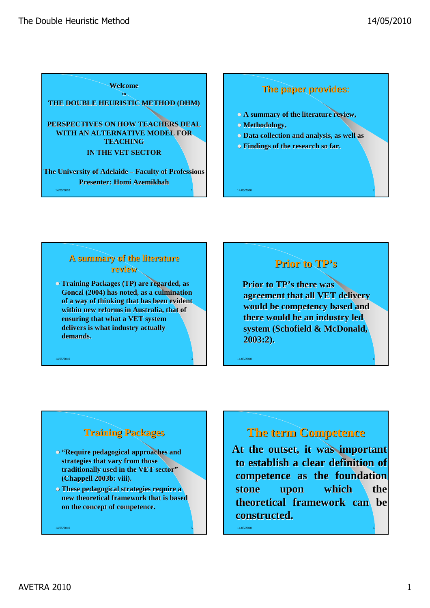

### **The paper provides:**

- **A summary of the literature review,**
- **Methodology,**
- **Data collection and analysis, as well as**
- **Findings of the research so far.**

### **A summary of the literature review**

 **Training Packages (TP) are regarded, as Gonczi (2004) has noted, as a culmination of a way of thinking that has been evident within new reforms in Australia, that of ensuring that what a VET system delivers is what industry actually demands.** 

14/05/2010 3

# **Prior to TP's**

14/05/2010 2

**Prior to TP's there was agreement that all VET delivery would be competency based and there would be an industry led system (Schofield & McDonald, 2003:2).** 

14/05/2010 4

### **Training Packages**

- **"Require pedagogical approaches and strategies that vary from those traditionally used in the VET sector" (Chappell 2003b: viii).**
- **These pedagogical strategies require a new theoretical framework that is based on the concept of competence.**

14/05/2010 55/10 12:00:00 12:00:00 12:00:00 12:00:00 12:00:00 12:00:00 12:00:00 12:00:00 12:00:00 12:00:00 12:0

**The term Competence**

**At the outset, it was important to establish a clear definition of competence as the foundation stone upon which the theoretical framework can be constructed.**

14/05/2010 6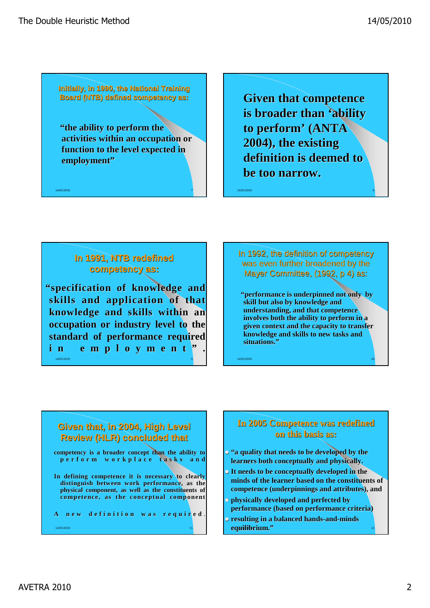**Initially, in 1990, the National Training Board (NTB) defined competency as:**

**"the ability to perform the activities within an occupation or function to the level expected in employment"**

 $14/05/2010$   $7$ 

**Given that competence is broader than 'ability to perform' (ANTA 2004), the existing definition is deemed to be too narrow.**

14/05/2010 8

### **In 1991, NTB redefined competency as:**

14/05/2010 9 **"specification of knowledge and skills and application of that knowledge and skills within an occupation or industry level to the standard of performance required i n e m p l o y m e n t " .** 

In 1992, the definition of competency was even further broadened by the Mayer Committee, (1992, p 4) as:

**"performance is underpinned not only by skill but also by knowledge and understanding, and that competence involves both the ability to perform in a given context and the capacity to transfer knowledge and skills to new tasks and situations."**

 $14/05/2010$  and  $10/05/2010$  and  $10/05/2010$  and  $10/05/2010$  and  $10/05/2010$ 

**Given that, in 2004, High Level Review (HLR) concluded that competency is a broader concept than the ability to p e r f o r m w o r k p l a c e t a s k s a n d In defining competence it is necessary to clearly distinguish between work performance, as the physical component, as well as the constituents of competence, as the conceptual component A n e w d e f i n i t i o n w a s r e q u i r e d** .

14/05/2010 **11** 14/05/2010 **11** 

### **In 2005 Competence was redefined on this basis as:**

- **"a quality that needs to be developed by the learners both conceptually and physically.**
- **It needs to be conceptually developed in the minds of the learner based on the constituents of competence (underpinnings and attributes), and**
- **physically developed and perfected by performance (based on performance criteria)**
- 14/05/2010 12 **equilibrium."resulting in a balanced hands-and-minds**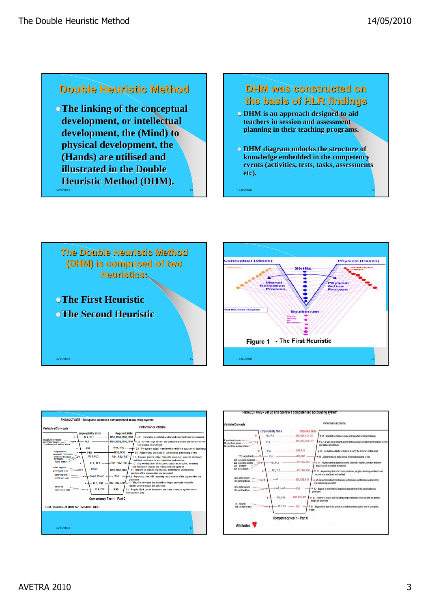# **Double Heuristic Method**

14/05/2010 **The linking of the conceptual development, or intellectual development, the (Mind) to physical development, the (Hands) are utilised and illustrated in the Double Heuristic Method (DHM).** 

### **DHM was constructed on the basis of HLR findings**

- **DHM** is an approach designed to aid **teachers in session and assessment planning in their teaching programs.**
- **DHM diagram unlocks the structure of knowledge embedded in the competency events (activities, tests, tasks, assessments etc).**

 $14/05/2010$   $14$ 







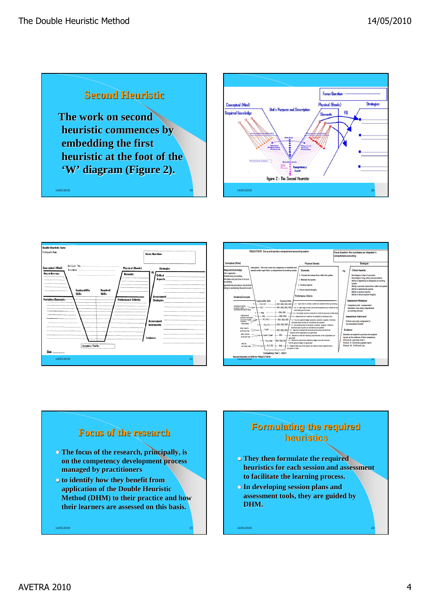









# **Formulating the required heuristics**

- **They then formulate the required heuristics for each session and assessment to facilitate the learning process.**
- **In developing session plans and assessment tools, they are guided by**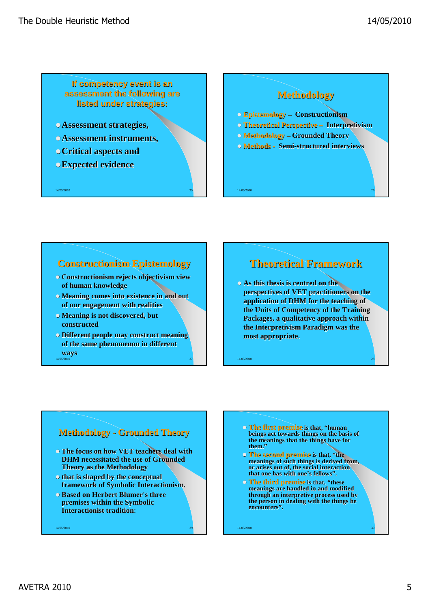**If competency event is an assessment the following are listed under strategies:**

- **Assessment strategies,**
- **Assessment instruments,**
- **Critical aspects and**
- **Expected evidence**

14/05/2010

# **Methodology Epistemology – Constructionism Theoretical Perspective – Interpretivism Methodology – Grounded Theory Methods - Semi-structured interviews**

### **Constructionism Epistemology**

- **Constructionism rejects objectivism view of human knowledge**
- **Meaning comes into existence in and out of our engagement with realities**
- **Meaning is not discovered, but constructed**
- 14/05/2010 27 **Different people may construct meaning of the same phenomenon in different ways**

# **Theoretical Framework**

 $14/05/2010$   $26$ 

 **As this thesis is centred on the perspectives of VET practitioners on the application of DHM for the teaching of the Units of Competency of the Training Packages, a qualitative approach within the Interpretivism Paradigm was the most appropriate.** 

14/05/2010 28

### **Methodology - Grounded Theory**

- **The focus on how VET teachers deal with DHM necessitated the use of Grounded Theory as the Methodology**
- **that is shaped by the conceptual framework of Symbolic Interactionism.**
- **Based on Herbert Blumer's three premises within the Symbolic Interactionist tradition**:

14/05/2010 29

- **The first premise is that, "human beings act towards things on the basis of the meanings that the things have for them."**
- **The second premise is that, "the meanings of such things is derived from, or arises out of, the social interaction that one has with one's fellows".**
- **The third premise is that, "these meanings are handled in and modified through an interpretive process used by the person in dealing with the things he encounters".**

 $14/05/2010$  30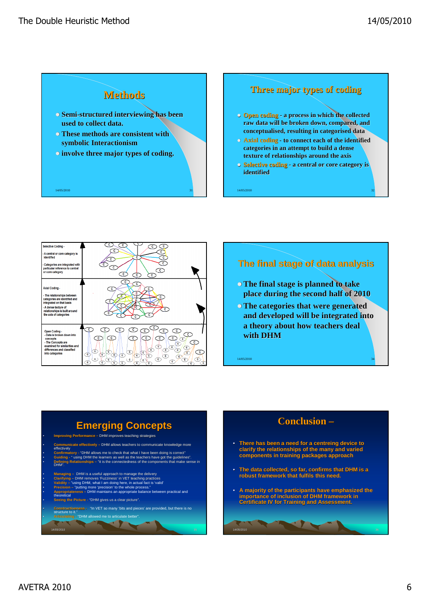

### **Three major types of coding**

- **Open coding - a process in which the collected raw data will be broken down, compared, and conceptualised, resulting in categorised data**
- **Axial coding - to connect each of the identified categories in an attempt to build a dense texture of relationships around the axis**
- **Selective coding - a central or core category is identified**



### **The final stage of data analysis**

- **The final stage is planned to take place during the second half of 2010**
- **The categories that were generated and developed will be integrated into a theory about how teachers deal with DHM**

**Emerging Concepts** • **Improving Performance –** DHM improves teaching strategies • **Communicate effectively –** DHM allows teachers to communicate knowledge more effectively • Confirmatory - "DHM allows me to check that what I have been doing is correct"<br>• Guiding - " using DHM the learners as well as the teachers have got the guidelines".<br>• Defining Relationships – "it is the connectedness of DHM". • Managing – DHM is a useful approach to manage the delivery<br>• Clarifying – DHM removes 'Fuzziness' in VET teaching practices<br>• Validity – "using DHM, what I am doing here, in actual fact is 'valid'

• **Precision –** "putting more 'precision' to the whole process." • **Appropriateness –** DHM maintains an appropriate balance between practical and theoretical • **Seeing the Picture -** "DHM gives us a clear picture".

- 7

• **Constructiveness -** "In VET so many 'bits and pieces' are provided, but there is no structure to it." • **Articulating -** "DHM allowed me to articulate better".

14/05/2010 35

### **Conclusion –**

- **There has been a need for a centreing device to clarify the relationships of the many and varied components in training packages approach**
- **The data collected, so far, confirms that DHM is a robust framework that fulfils this need.**
- **A majority of the participants have emphasized the importance of inclusion of DHM framework in Certificate IV for Training and Assessment.**

14/05/2010 36 September 2014 36 September 2014 36 September 2014 36 September 2014 36 September 2014 36 Septemb